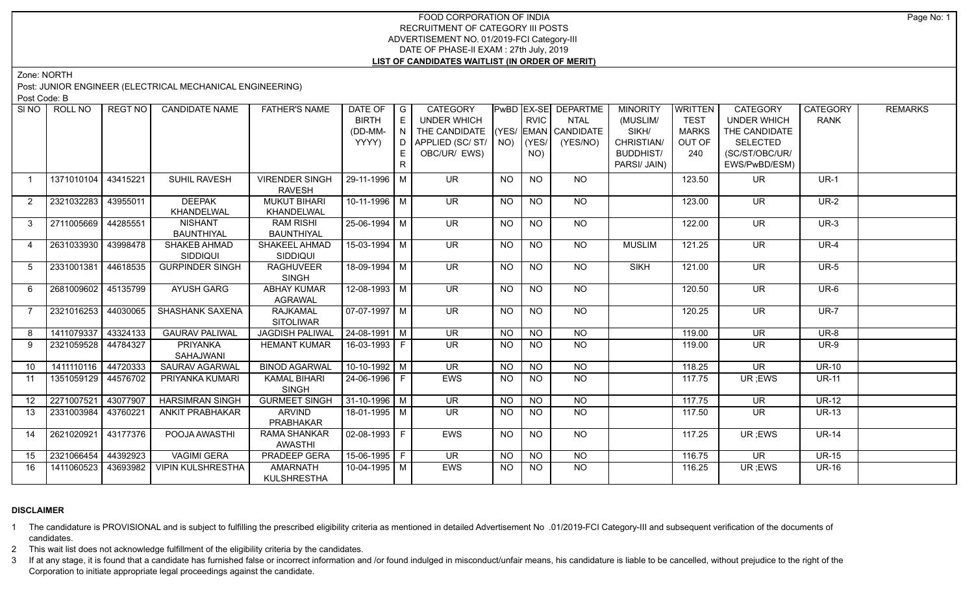# FOOD CORPORATION OF INDIA RECRUITMENT OF CATEGORY III POSTS ADVERTISEMENT NO. 01/2019-FCI Category-III DATE OF PHASE-II EXAM : 27th July, 2019 **LIST OF CANDIDATES WAITLIST (IN ORDER OF MERIT)**

Zone: NORTH

Post: JUNIOR ENGINEER (ELECTRICAL MECHANICAL ENGINEERING)

Post Code: B

| SI <sub>NO</sub> | ROLL NO             | REGT NO  | <b>CANDIDATE NAME</b>    | <b>FATHER'S NAME</b>   | DATE OF                | $\overline{\phantom{a}}$ I G | <b>CATEGORY</b>                    |                |                 | PwBD EX-SE DEPARTME | <b>MINORITY</b>  | WRITTEN      | <b>CATEGORY</b>          | <b>CATEGORY</b> | <b>REMARKS</b> |
|------------------|---------------------|----------|--------------------------|------------------------|------------------------|------------------------------|------------------------------------|----------------|-----------------|---------------------|------------------|--------------|--------------------------|-----------------|----------------|
|                  |                     |          |                          |                        | <b>BIRTH</b>           | $\mathsf E$                  | UNDER WHICH                        |                | <b>RVIC</b>     | <b>NTAL</b>         | (MUSLIM/         | <b>TEST</b>  | <b>UNDER WHICH</b>       | <b>RANK</b>     |                |
|                  |                     |          |                          |                        | (DD-MM-                |                              | THE CANDIDATE (YES/ EMAN CANDIDATE |                |                 |                     | SIKH/            | <b>MARKS</b> | THE CANDIDATE            |                 |                |
|                  |                     |          |                          |                        | YYYY)                  |                              | D APPLIED (SC/ ST/   NO)           |                | (YES/           | (YES/NO)            | CHRISTIAN/       | OUT OF       | SELECTED                 |                 |                |
|                  |                     |          |                          |                        |                        | E                            | OBC/UR/ EWS)                       |                | NO)             |                     | <b>BUDDHIST/</b> | 240          | (SC/ST/OBC/UR/           |                 |                |
|                  |                     |          |                          |                        |                        | R.                           |                                    |                |                 |                     | PARSI/ JAIN)     |              | EWS/PwBD/ESM)            |                 |                |
| $\mathbf{1}$     | 1371010104          | 43415221 | <b>SUHIL RAVESH</b>      | <b>VIRENDER SINGH</b>  | 29-11-1996   M         |                              | <b>UR</b>                          | <b>NO</b>      | <b>NO</b>       | NO.                 |                  | 123.50       | UR.                      | $UR-1$          |                |
|                  |                     |          |                          | <b>RAVESH</b>          |                        |                              |                                    |                |                 |                     |                  |              |                          |                 |                |
| 2                | 2321032283          | 43955011 | <b>DEEPAK</b>            | <b>MUKUT BIHARI</b>    | $10-11-1996$ M         |                              | $\overline{\mathsf{UR}}$           | <b>NO</b>      | <b>NO</b>       | <b>NO</b>           |                  | 123.00       | <b>UR</b>                | $UR-2$          |                |
|                  |                     |          | KHANDELWAL               | KHANDELWAL             |                        |                              |                                    |                |                 |                     |                  |              |                          |                 |                |
| $\mathbf{3}$     | 2711005669 44285551 |          | <b>NISHANT</b>           | <b>RAM RISHI</b>       | $25 - 06 - 1994$ M     |                              | UR <sup>1</sup>                    | NO             | $\overline{NQ}$ | NO                  |                  | 122.00       | $\overline{\mathsf{UR}}$ | $UR-3$          |                |
|                  |                     |          | BAUNTHIYAL               | <b>BAUNTHIYAL</b>      |                        |                              |                                    |                |                 |                     |                  |              |                          |                 |                |
| $\overline{4}$   | 2631033930 43998478 |          | SHAKEB AHMAD             | SHAKEEL AHMAD          | $15-03-1994$ M         |                              | UR.                                | NO.            | NO              | NO.                 | <b>MUSLIM</b>    | 121.25       | UR.                      | $UR-4$          |                |
|                  |                     |          | <b>SIDDIQUI</b>          | <b>SIDDIQUI</b>        |                        |                              |                                    |                |                 |                     |                  |              |                          |                 |                |
| 5                | 2331001381 44618535 |          | <b>GURPINDER SINGH</b>   | <b>RAGHUVEER</b>       | $18-09-1994$ M         |                              | $\overline{\mathsf{UR}}$           | <b>NO</b>      | <b>NO</b>       | NO                  | <b>SIKH</b>      | 121.00       | $\overline{\mathsf{UR}}$ | $UR-5$          |                |
|                  |                     |          |                          | <b>SINGH</b>           |                        |                              |                                    |                |                 |                     |                  |              |                          |                 |                |
| 6                | 2681009602 45135799 |          | AYUSH GARG               | <b>ABHAY KUMAR</b>     | $12 - 08 - 1993$ M     |                              | $\overline{\mathsf{UR}}$           | <b>NO</b>      | <b>NO</b>       | NO                  |                  | 120.50       | <b>UR</b>                | UR-6            |                |
|                  |                     |          |                          | <b>AGRAWAL</b>         |                        |                              |                                    |                |                 |                     |                  |              |                          |                 |                |
| $\overline{7}$   | 2321016253          | 44030065 | SHASHANK SAXENA          | <b>RAJKAMAL</b>        | $07-07-1997$ M         |                              | <b>UR</b>                          | <b>NO</b>      | <b>NO</b>       | <b>NO</b>           |                  | 120.25       | <b>UR</b>                | <b>UR-7</b>     |                |
|                  |                     |          |                          | <b>SITOLIWAR</b>       |                        |                              |                                    |                |                 |                     |                  |              |                          |                 |                |
| 8                | 1411079337 43324133 |          | <b>GAURAV PALIWAL</b>    | <b>JAGDISH PALIWAL</b> | $24 - 08 - 1991$ M     |                              | $\overline{\mathsf{UR}}$           | <b>NO</b>      | <b>NO</b>       | $\overline{NQ}$     |                  | 119.00       | $\overline{\mathsf{UR}}$ | $UR-8$          |                |
| 9                | 2321059528 44784327 |          | PRIYANKA                 | <b>HEMANT KUMAR</b>    | 16-03-1993 F           |                              | $\overline{\mathsf{UR}}$           | <b>NO</b>      | <b>NO</b>       | NO                  |                  | 119.00       | <b>UR</b>                | <b>UR-9</b>     |                |
|                  |                     |          | SAHAJWANI                |                        |                        |                              |                                    |                |                 |                     |                  |              |                          |                 |                |
| 10               | 1411110116 44720333 |          | <b>SAURAV AGARWAL</b>    | <b>BINOD AGARWAL</b>   | $10-10-1992$ M         |                              | $\overline{\mathsf{UR}}$           | N <sub>O</sub> | $\overline{NO}$ | $N$ <sup>O</sup>    |                  | 118.25       | $\overline{\mathsf{UR}}$ | $UR-10$         |                |
| 11               | 1351059129 44576702 |          | PRIYANKA KUMARI          | <b>KAMAL BIHARI</b>    | 24-06-1996 F           |                              | <b>EWS</b>                         | <b>NO</b>      | <b>NO</b>       | <b>NO</b>           |                  | 117.75       | UR; EWS                  | <b>UR-11</b>    |                |
|                  |                     |          |                          | <b>SINGH</b>           |                        |                              |                                    |                |                 |                     |                  |              |                          |                 |                |
| 12               | 2271007521          | 43077907 | <b>HARSIMRAN SINGH</b>   | <b>GURMEET SINGH</b>   | $31-10-1996$ M         |                              | $\overline{\mathsf{UR}}$           | <b>NO</b>      | $N$ O           | $N$ O               |                  | 117.75       | <b>UR</b>                | $UR-12$         |                |
| 13               | 2331003984          | 43760221 | <b>ANKIT PRABHAKAR</b>   | <b>ARVIND</b>          | 18-01-1995 M           |                              | UR.                                | NO.            | NO.             | NO                  |                  | 117.50       | UR.                      | <b>UR-13</b>    |                |
|                  |                     |          |                          | PRABHAKAR              |                        |                              |                                    |                |                 |                     |                  |              |                          |                 |                |
| 14               | 2621020921 43177376 |          | POOJA AWASTHI            | <b>RAMA SHANKAR</b>    | $\boxed{02-08-1993}$ F |                              | <b>EWS</b>                         | <b>NO</b>      | $N$ O           | $N$ <sup>O</sup>    |                  | 117.25       | UR; EWS                  | <b>UR-14</b>    |                |
|                  |                     |          |                          | <b>AWASTHI</b>         |                        |                              |                                    |                |                 |                     |                  |              |                          |                 |                |
| 15               | 2321066454          | 44392923 | <b>VAGIMI GERA</b>       | <b>PRADEEP GERA</b>    | $15-06-1995$ F         |                              | <b>UR</b>                          | <b>NO</b>      | <b>NO</b>       | <b>NO</b>           |                  | 116.75       | <b>UR</b>                | <b>UR-15</b>    |                |
| 16               | 1411060523          | 43693982 | <b>VIPIN KULSHRESTHA</b> | <b>AMARNATH</b>        | 10-04-1995 M           |                              | <b>EWS</b>                         | NO.            | NO.             | <b>NO</b>           |                  | 116.25       | UR : EWS                 | <b>UR-16</b>    |                |
|                  |                     |          |                          | <b>KULSHRESTHA</b>     |                        |                              |                                    |                |                 |                     |                  |              |                          |                 |                |

# **DISCLAIMER**

1 The candidature is PROVISIONAL and is subject to fulfilling the prescribed eligibility criteria as mentioned in detailed Advertisement No .01/2019-FCI Category-III and subsequent verification of the documents of candidates.

2 This wait list does not acknowledge fulfillment of the eligibility criteria by the candidates.

3 If at any stage, it is found that a candidate has furnished false or incorrect information and /or found indulged in misconduct/unfair means, his candidature is liable to be cancelled, without prejudice to the right of t Corporation to initiate appropriate legal proceedings against the candidate.

Page No: 1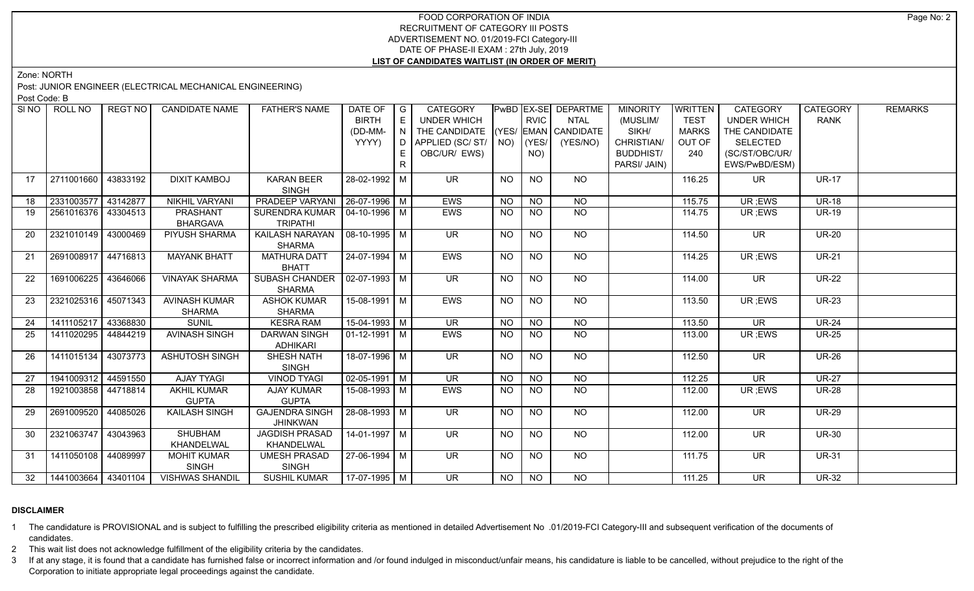# FOOD CORPORATION OF INDIA RECRUITMENT OF CATEGORY III POSTS ADVERTISEMENT NO. 01/2019-FCI Category-III DATE OF PHASE-II EXAM : 27th July, 2019 **LIST OF CANDIDATES WAITLIST (IN ORDER OF MERIT)**

Zone: NORTH

Post: JUNIOR ENGINEER (ELECTRICAL MECHANICAL ENGINEERING)

Post Code: B

| SINO | ROLL NO               | <b>REGT NO</b> | <b>CANDIDATE NAME</b>  | <b>FATHER'S NAME</b>                   | DATE OF $ G $         |    | <b>CATEGORY</b>                    |           |             | PwBD EX-SE DEPARTME | <b>MINORITY</b>  | WRITTEN      | <b>CATEGORY</b>          | <b>CATEGORY</b> | <b>REMARKS</b> |
|------|-----------------------|----------------|------------------------|----------------------------------------|-----------------------|----|------------------------------------|-----------|-------------|---------------------|------------------|--------------|--------------------------|-----------------|----------------|
|      |                       |                |                        |                                        | <b>BIRTH</b>          | E  | <b>UNDER WHICH</b>                 |           | <b>RVIC</b> | <b>NTAL</b>         | (MUSLIM/         | <b>TEST</b>  | <b>UNDER WHICH</b>       | <b>RANK</b>     |                |
|      |                       |                |                        |                                        | (DD-MM-               | N  | THE CANDIDATE (YES/ EMAN CANDIDATE |           |             |                     | SIKH/            | <b>MARKS</b> | THE CANDIDATE            |                 |                |
|      |                       |                |                        |                                        | YYYY)                 |    | D APPLIED (SC/ ST/   NO)           |           | $ $ (YES/   | (YES/NO)            | CHRISTIAN/       | OUT OF       | SELECTED                 |                 |                |
|      |                       |                |                        |                                        |                       | E. | OBC/UR/ EWS)                       |           | NO)         |                     | <b>BUDDHIST/</b> | 240          | (SC/ST/OBC/UR/           |                 |                |
|      |                       |                |                        |                                        |                       | R  |                                    |           |             |                     | PARSI/ JAIN)     |              | EWS/PwBD/ESM)            |                 |                |
| 17   | 2711001660            | 43833192       | <b>DIXIT KAMBOJ</b>    | <b>KARAN BEER</b>                      | 28-02-1992 M          |    | <b>UR</b>                          | <b>NO</b> | NO          | NO                  |                  | 116.25       | <b>UR</b>                | <b>UR-17</b>    |                |
|      |                       |                |                        | <b>SINGH</b>                           |                       |    |                                    |           |             |                     |                  |              |                          |                 |                |
| 18   | 2331003577 43142877   |                | <b>NIKHIL VARYANI</b>  | PRADEEP VARYANI   26-07-1996   M       |                       |    | EWS                                | <b>NO</b> | <b>NO</b>   | <b>NO</b>           |                  | 115.75       | UR ;EWS                  | <b>UR-18</b>    |                |
| 19   | 2561016376 43304513   |                | PRASHANT               | SURENDRA KUMAR   04-10-1996   M        |                       |    | EWS                                | <b>NO</b> | <b>NO</b>   | <b>NO</b>           |                  | 114.75       | UR; EWS                  | <b>UR-19</b>    |                |
|      |                       |                | <b>BHARGAVA</b>        | <b>TRIPATHI</b>                        |                       |    |                                    |           |             |                     |                  |              |                          |                 |                |
| -20  | 2321010149 43000469   |                | PIYUSH SHARMA          | KAILASH NARAYAN   08-10-1995   M       |                       |    | UR <sup>1</sup>                    | <b>NO</b> | NO.         | NO                  |                  | 114.50       | UR.                      | <b>UR-20</b>    |                |
|      |                       |                |                        | <b>SHARMA</b>                          |                       |    |                                    |           |             |                     |                  |              |                          |                 |                |
| 21   | 2691008917 44716813   |                | <b>MAYANK BHATT</b>    | <b>MATHURA DATT</b>                    | $24-07-1994$ M        |    | <b>EWS</b>                         | <b>NO</b> | <b>NO</b>   | N <sub>O</sub>      |                  | 114.25       | UR; EWS                  | $UR-21$         |                |
|      |                       |                |                        | <b>BHATT</b>                           |                       |    |                                    |           |             |                     |                  |              |                          |                 |                |
| 22   | 1691006225 43646066   |                | <b>VINAYAK SHARMA</b>  | SUBASH CHANDER   02-07-1993   M        |                       |    | $\overline{\mathsf{UR}}$           | <b>NO</b> | <b>NO</b>   | NO                  |                  | 114.00       | <b>UR</b>                | <b>UR-22</b>    |                |
|      |                       |                |                        | <b>SHARMA</b>                          |                       |    |                                    |           |             |                     |                  |              |                          |                 |                |
| 23   | 2321025316 45071343   |                | <b>AVINASH KUMAR</b>   | <b>ASHOK KUMAR</b>                     | $15-08-1991$ M        |    | <b>EWS</b>                         | <b>NO</b> | <b>NO</b>   | $N$ <sup>O</sup>    |                  | 113.50       | UR ;EWS                  | <b>UR-23</b>    |                |
|      |                       |                | <b>SHARMA</b>          | SHARMA                                 |                       |    |                                    |           |             |                     |                  |              |                          |                 |                |
| 24   | 1411105217 43368830   |                | <b>SUNIL</b>           | <b>KESRA RAM</b>                       | 15-04-1993 M          |    | <b>UR</b>                          | <b>NO</b> | <b>NO</b>   | <b>NO</b>           |                  | 113.50       | <b>UR</b>                | <b>UR-24</b>    |                |
| 25   | 1411020295 44844219   |                | <b>AVINASH SINGH</b>   | <b>DARWAN SINGH</b><br><b>ADHIKARI</b> | 01-12-1991   M        |    | <b>EWS</b>                         | <b>NO</b> | <b>NO</b>   | NO                  |                  | 113.00       | UR; EWS                  | <b>UR-25</b>    |                |
| 26   | 1411015134 43073773   |                | <b>ASHUTOSH SINGH</b>  | <b>SHESH NATH</b>                      | $18-07-1996$ M        |    | UR <sup>1</sup>                    | NO.       | NO.         | $N$ <sup>O</sup>    |                  | 112.50       | <b>UR</b>                | <b>UR-26</b>    |                |
|      |                       |                |                        | <b>SINGH</b>                           |                       |    |                                    |           |             |                     |                  |              |                          |                 |                |
| 27   | 1941009312 44591550   |                | <b>AJAY TYAGI</b>      | <b>VINOD TYAGI</b>                     | $\sqrt{02-05-1991}$ M |    | $\overline{\mathsf{UR}}$           | <b>NO</b> | <b>NO</b>   | N <sub>O</sub>      |                  | 112.25       | $\overline{\mathsf{UR}}$ | $UR-27$         |                |
| 28   | 1921003858   44718814 |                | <b>AKHIL KUMAR</b>     | <b>AJAY KUMAR</b>                      | 15-08-1993   M        |    | EWS                                | <b>NO</b> | NO.         | <b>NO</b>           |                  | 112.00       | UR; EWS                  | <b>UR-28</b>    |                |
|      |                       |                | <b>GUPTA</b>           | <b>GUPTA</b>                           |                       |    |                                    |           |             |                     |                  |              |                          |                 |                |
| 29   | 2691009520 44085026   |                | <b>KAILASH SINGH</b>   | <b>GAJENDRA SINGH</b>                  | 28-08-1993 M          |    | UR.                                | NO.       | NO.         | NO                  |                  | 112.00       | UR.                      | <b>UR-29</b>    |                |
|      |                       |                |                        | <b>JHINKWAN</b>                        |                       |    |                                    |           |             |                     |                  |              |                          |                 |                |
| 30   | 2321063747 43043963   |                | <b>SHUBHAM</b>         | <b>JAGDISH PRASAD</b>                  | $14 - 01 - 1997$ M    |    | $\overline{\mathsf{UR}}$           | <b>NO</b> | <b>NO</b>   | $N$ <sup>O</sup>    |                  | 112.00       | $\overline{\mathsf{UR}}$ | <b>UR-30</b>    |                |
|      |                       |                | KHANDELWAL             | KHANDELWAL                             |                       |    |                                    |           |             |                     |                  |              |                          |                 |                |
| 31   | 1411050108 44089997   |                | <b>MOHIT KUMAR</b>     | <b>UMESH PRASAD</b>                    | $27-06-1994$ M        |    | <b>UR</b>                          | <b>NO</b> | <b>NO</b>   | NO                  |                  | 111.75       | UR.                      | <b>UR-31</b>    |                |
|      |                       |                | <b>SINGH</b>           | <b>SINGH</b>                           |                       |    |                                    |           |             |                     |                  |              |                          |                 |                |
| 32   | 1441003664 43401104   |                | <b>VISHWAS SHANDIL</b> | <b>SUSHIL KUMAR</b>                    | $17-07-1995$ M        |    | $\overline{\mathsf{UR}}$           | NO        | NO          | $\overline{NO}$     |                  | 111.25       | $\overline{\mathsf{UR}}$ | $UR-32$         |                |
|      |                       |                |                        |                                        |                       |    |                                    |           |             |                     |                  |              |                          |                 |                |

# **DISCLAIMER**

1 The candidature is PROVISIONAL and is subject to fulfilling the prescribed eligibility criteria as mentioned in detailed Advertisement No .01/2019-FCI Category-III and subsequent verification of the documents of candidates.

2 This wait list does not acknowledge fulfillment of the eligibility criteria by the candidates.

3 If at any stage, it is found that a candidate has furnished false or incorrect information and /or found indulged in misconduct/unfair means, his candidature is liable to be cancelled, without prejudice to the right of t Corporation to initiate appropriate legal proceedings against the candidate.

Page No: 2